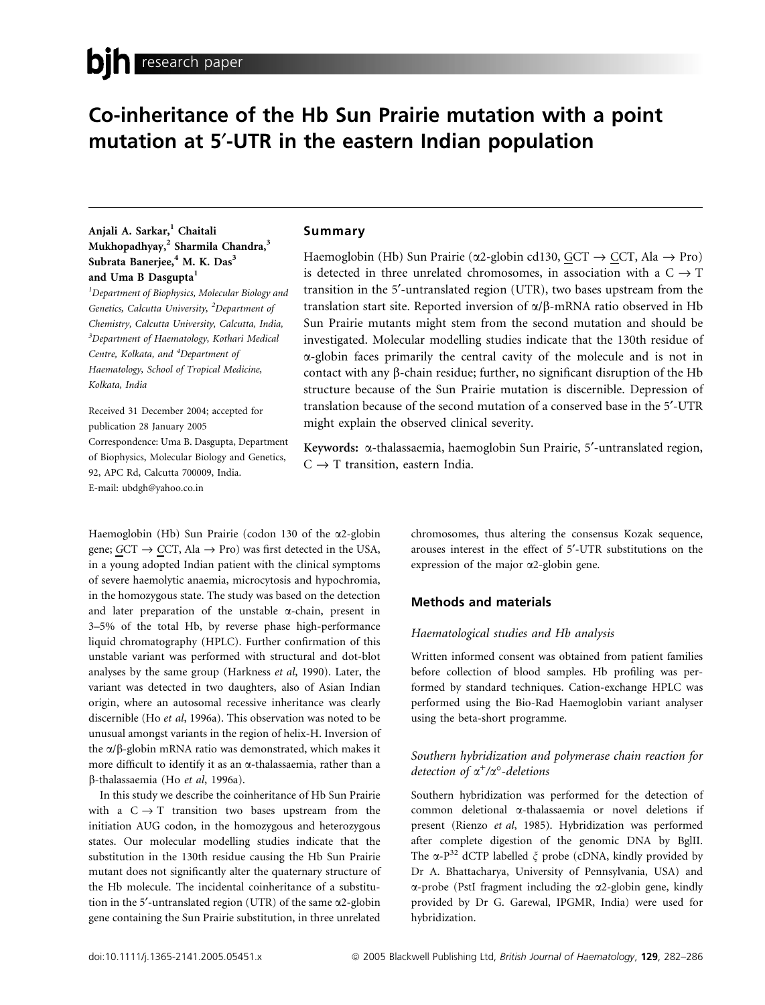# Co-inheritance of the Hb Sun Prairie mutation with a point mutation at 5¢-UTR in the eastern Indian population

# Anjali A. Sarkar,<sup>1</sup> Chaitali Mukhopadhyay,<sup>2</sup> Sharmila Chandra,<sup>3</sup> Subrata Banerjee,<sup>4</sup> M. K. Das<sup>3</sup> and Uma B Dasgupta<sup>1</sup>

 $1$ Department of Biophysics, Molecular Biology and Genetics, Calcutta University, <sup>2</sup>Department of Chemistry, Calcutta University, Calcutta, India,  $3$ Department of Haematology, Kothari Medical Centre, Kolkata, and <sup>4</sup>Department of Haematology, School of Tropical Medicine, Kolkata, India

Received 31 December 2004; accepted for publication 28 January 2005 Correspondence: Uma B. Dasgupta, Department of Biophysics, Molecular Biology and Genetics, 92, APC Rd, Calcutta 700009, India. E-mail: ubdgh@yahoo.co.in

Haemoglobin (Hb) Sun Prairie (codon 130 of the a2-globin gene; GCT  $\rightarrow$  CCT, Ala  $\rightarrow$  Pro) was first detected in the USA, in a young adopted Indian patient with the clinical symptoms of severe haemolytic anaemia, microcytosis and hypochromia, in the homozygous state. The study was based on the detection and later preparation of the unstable  $\alpha$ -chain, present in 3–5% of the total Hb, by reverse phase high-performance liquid chromatography (HPLC). Further confirmation of this unstable variant was performed with structural and dot-blot analyses by the same group (Harkness et al, 1990). Later, the variant was detected in two daughters, also of Asian Indian origin, where an autosomal recessive inheritance was clearly discernible (Ho et al, 1996a). This observation was noted to be unusual amongst variants in the region of helix-H. Inversion of the  $\alpha/\beta$ -globin mRNA ratio was demonstrated, which makes it more difficult to identify it as an  $\alpha$ -thalassaemia, rather than a b-thalassaemia (Ho et al, 1996a).

In this study we describe the coinheritance of Hb Sun Prairie with a  $C \rightarrow T$  transition two bases upstream from the initiation AUG codon, in the homozygous and heterozygous states. Our molecular modelling studies indicate that the substitution in the 130th residue causing the Hb Sun Prairie mutant does not significantly alter the quaternary structure of the Hb molecule. The incidental coinheritance of a substitution in the 5'-untranslated region (UTR) of the same  $\alpha$ 2-globin gene containing the Sun Prairie substitution, in three unrelated

## Summary

Haemoglobin (Hb) Sun Prairie ( $\alpha$ 2-globin cd130, GCT  $\rightarrow$  CCT, Ala  $\rightarrow$  Pro) is detected in three unrelated chromosomes, in association with a  $C \rightarrow T$ transition in the 5'-untranslated region (UTR), two bases upstream from the translation start site. Reported inversion of  $\alpha/\beta$ -mRNA ratio observed in Hb Sun Prairie mutants might stem from the second mutation and should be investigated. Molecular modelling studies indicate that the 130th residue of a-globin faces primarily the central cavity of the molecule and is not in contact with any  $\beta$ -chain residue; further, no significant disruption of the Hb structure because of the Sun Prairie mutation is discernible. Depression of translation because of the second mutation of a conserved base in the 5¢-UTR might explain the observed clinical severity.

Keywords: a-thalassaemia, haemoglobin Sun Prairie, 5¢-untranslated region,  $C \rightarrow T$  transition, eastern India.

> chromosomes, thus altering the consensus Kozak sequence, arouses interest in the effect of 5'-UTR substitutions on the expression of the major a2-globin gene.

## Methods and materials

## Haematological studies and Hb analysis

Written informed consent was obtained from patient families before collection of blood samples. Hb profiling was performed by standard techniques. Cation-exchange HPLC was performed using the Bio-Rad Haemoglobin variant analyser using the beta-short programme.

# Southern hybridization and polymerase chain reaction for detection of  $\alpha^+/\alpha^{\circ}$ -deletions

Southern hybridization was performed for the detection of common deletional a-thalassaemia or novel deletions if present (Rienzo et al, 1985). Hybridization was performed after complete digestion of the genomic DNA by BglII. The  $\alpha$ -P<sup>32</sup> dCTP labelled  $\xi$  probe (cDNA, kindly provided by Dr A. Bhattacharya, University of Pennsylvania, USA) and  $\alpha$ -probe (PstI fragment including the  $\alpha$ 2-globin gene, kindly provided by Dr G. Garewal, IPGMR, India) were used for hybridization.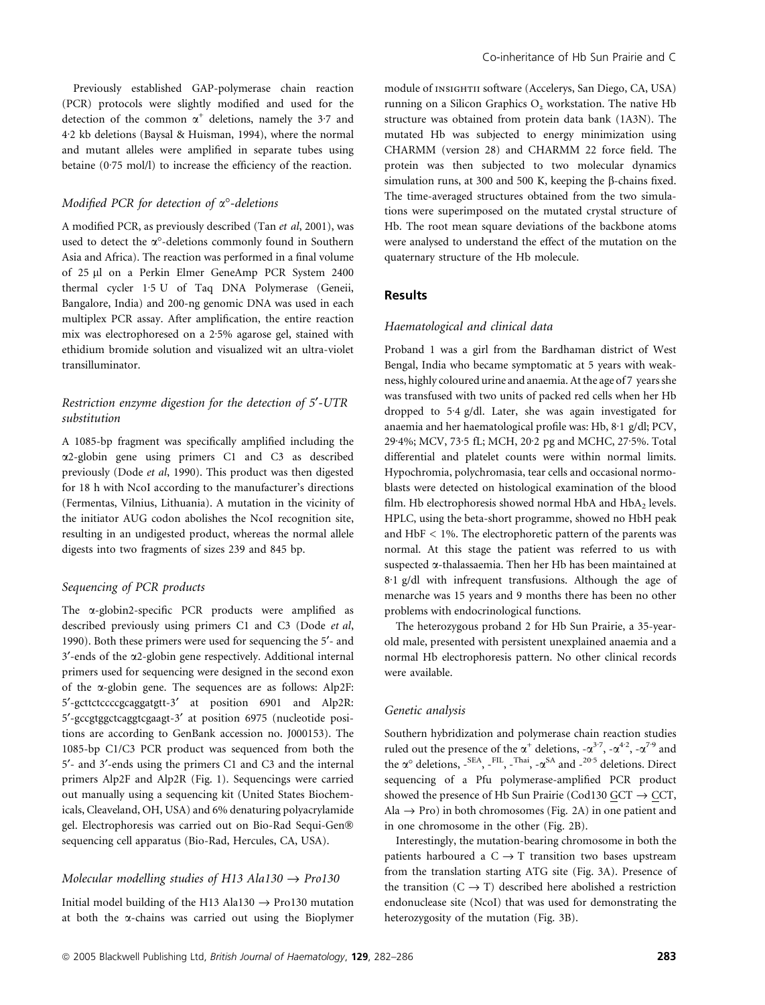Previously established GAP-polymerase chain reaction (PCR) protocols were slightly modified and used for the detection of the common  $\alpha^+$  deletions, namely the 3.7 and 4.2 kb deletions (Baysal & Huisman, 1994), where the normal and mutant alleles were amplified in separate tubes using betaine  $(0.75 \text{ mol/l})$  to increase the efficiency of the reaction.

#### Modified PCR for detection of  $\alpha^{\circ}$ -deletions

A modified PCR, as previously described (Tan et al, 2001), was used to detect the  $\alpha^{\circ}$ -deletions commonly found in Southern Asia and Africa). The reaction was performed in a final volume of 25 µl on a Perkin Elmer GeneAmp PCR System 2400 thermal cycler 1.5 U of Taq DNA Polymerase (Geneii, Bangalore, India) and 200-ng genomic DNA was used in each multiplex PCR assay. After amplification, the entire reaction mix was electrophoresed on a 2.5% agarose gel, stained with ethidium bromide solution and visualized wit an ultra-violet transilluminator.

## Restriction enzyme digestion for the detection of 5'-UTR substitution

A 1085-bp fragment was specifically amplified including the a2-globin gene using primers C1 and C3 as described previously (Dode et al, 1990). This product was then digested for 18 h with NcoI according to the manufacturer's directions (Fermentas, Vilnius, Lithuania). A mutation in the vicinity of the initiator AUG codon abolishes the NcoI recognition site, resulting in an undigested product, whereas the normal allele digests into two fragments of sizes 239 and 845 bp.

### Sequencing of PCR products

The a-globin2-specific PCR products were amplified as described previously using primers C1 and C3 (Dode et al, 1990). Both these primers were used for sequencing the 5<sup>'</sup>- and  $3'$ -ends of the  $\alpha$ 2-globin gene respectively. Additional internal primers used for sequencing were designed in the second exon of the a-globin gene. The sequences are as follows: Alp2F: 5¢-gcttctccccgcaggatgtt-3¢ at position 6901 and Alp2R: 5¢-gccgtggctcaggtcgaagt-3¢ at position 6975 (nucleotide positions are according to GenBank accession no. J000153). The 1085-bp C1/C3 PCR product was sequenced from both the 5¢- and 3¢-ends using the primers C1 and C3 and the internal primers Alp2F and Alp2R (Fig. 1). Sequencings were carried out manually using a sequencing kit (United States Biochemicals, Cleaveland, OH, USA) and 6% denaturing polyacrylamide gel. Electrophoresis was carried out on Bio-Rad Sequi-Gen sequencing cell apparatus (Bio-Rad, Hercules, CA, USA).

### Molecular modelling studies of H13 Ala130  $\rightarrow$  Pro130

Initial model building of the H13 Ala130  $\rightarrow$  Pro130 mutation at both the a-chains was carried out using the Bioplymer module of INSIGHTII software (Accelerys, San Diego, CA, USA) running on a Silicon Graphics  $O<sub>2</sub>$  workstation. The native Hb structure was obtained from protein data bank (1A3N). The mutated Hb was subjected to energy minimization using CHARMM (version 28) and CHARMM 22 force field. The protein was then subjected to two molecular dynamics simulation runs, at 300 and 500 K, keeping the  $\beta$ -chains fixed. The time-averaged structures obtained from the two simulations were superimposed on the mutated crystal structure of Hb. The root mean square deviations of the backbone atoms were analysed to understand the effect of the mutation on the quaternary structure of the Hb molecule.

## **Results**

#### Haematological and clinical data

Proband 1 was a girl from the Bardhaman district of West Bengal, India who became symptomatic at 5 years with weakness, highly coloured urine and anaemia. At the age of 7 years she was transfused with two units of packed red cells when her Hb dropped to 5.4 g/dl. Later, she was again investigated for anaemia and her haematological profile was: Hb, 8·1 g/dl; PCV, 29.4%; MCV, 73.5 fL; MCH, 20.2 pg and MCHC, 27.5%. Total differential and platelet counts were within normal limits. Hypochromia, polychromasia, tear cells and occasional normoblasts were detected on histological examination of the blood film. Hb electrophoresis showed normal HbA and  $HbA_2$  levels. HPLC, using the beta-short programme, showed no HbH peak and HbF < 1%. The electrophoretic pattern of the parents was normal. At this stage the patient was referred to us with suspected a-thalassaemia. Then her Hb has been maintained at 8.1 g/dl with infrequent transfusions. Although the age of menarche was 15 years and 9 months there has been no other problems with endocrinological functions.

The heterozygous proband 2 for Hb Sun Prairie, a 35-yearold male, presented with persistent unexplained anaemia and a normal Hb electrophoresis pattern. No other clinical records were available.

#### Genetic analysis

Southern hybridization and polymerase chain reaction studies ruled out the presence of the  $\alpha^+$  deletions,  $-\alpha^{3.7}$ ,  $-\alpha^{4.2}$ ,  $-\alpha^{7.9}$  and the  $\alpha^{\circ}$  deletions, -SEA, -FIL, -Thai, - $\alpha^{SA}$  and -20.5 deletions. Direct sequencing of a Pfu polymerase-amplified PCR product showed the presence of Hb Sun Prairie (Cod130 GCT  $\rightarrow$  CCT, Ala  $\rightarrow$  Pro) in both chromosomes (Fig. 2A) in one patient and in one chromosome in the other (Fig. 2B).

Interestingly, the mutation-bearing chromosome in both the patients harboured a  $C \rightarrow T$  transition two bases upstream from the translation starting ATG site (Fig. 3A). Presence of the transition  $(C \rightarrow T)$  described here abolished a restriction endonuclease site (NcoI) that was used for demonstrating the heterozygosity of the mutation (Fig. 3B).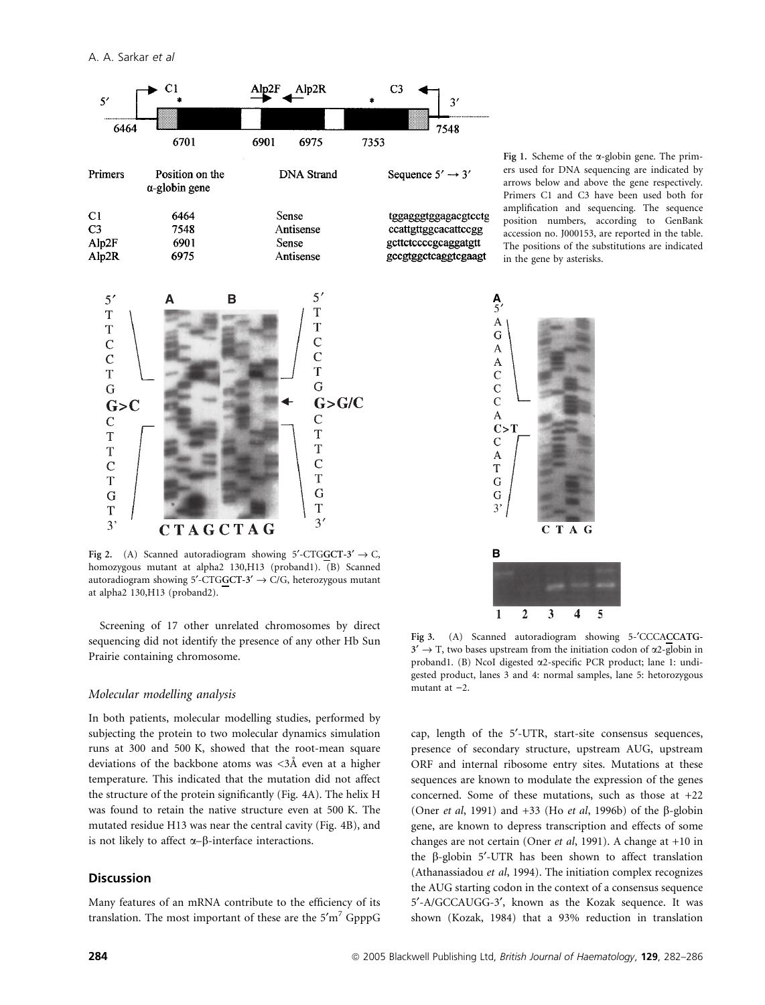

Fig 2. (A) Scanned autoradiogram showing 5'-CTGGCT-3'  $\rightarrow$  C, homozygous mutant at alpha2 130,H13 (proband1). (B) Scanned autoradiogram showing 5'-CTGGCT-3'  $\rightarrow$  C/G, heterozygous mutant at alpha2 130,H13 (proband2).

CTAGCTAG

Screening of 17 other unrelated chromosomes by direct sequencing did not identify the presence of any other Hb Sun Prairie containing chromosome.

#### Molecular modelling analysis

In both patients, molecular modelling studies, performed by subjecting the protein to two molecular dynamics simulation runs at 300 and 500 K, showed that the root-mean square deviations of the backbone atoms was  $\langle 3\text{\AA} \rangle$  even at a higher temperature. This indicated that the mutation did not affect the structure of the protein significantly (Fig. 4A). The helix H was found to retain the native structure even at 500 K. The mutated residue H13 was near the central cavity (Fig. 4B), and is not likely to affect  $\alpha$ – $\beta$ -interface interactions.

## Discussion

 $\overline{3}$ 

Many features of an mRNA contribute to the efficiency of its translation. The most important of these are the  $5'm^7$  GpppG

Fig 1. Scheme of the  $\alpha$ -globin gene. The primers used for DNA sequencing are indicated by arrows below and above the gene respectively. Primers C1 and C3 have been used both for amplification and sequencing. The sequence position numbers, according to GenBank accession no. J000153, are reported in the table. The positions of the substitutions are indicated in the gene by asterisks.



Fig 3. (A) Scanned autoradiogram showing 5- $^{\prime}$ CCCACCATG- $3' \rightarrow T$ , two bases upstream from the initiation codon of  $\alpha$ 2-globin in proband1. (B) NcoI digested a2-specific PCR product; lane 1: undigested product, lanes 3 and 4: normal samples, lane 5: hetorozygous mutant at  $-2$ .

cap, length of the 5'-UTR, start-site consensus sequences, presence of secondary structure, upstream AUG, upstream ORF and internal ribosome entry sites. Mutations at these sequences are known to modulate the expression of the genes concerned. Some of these mutations, such as those at +22 (Oner *et al*, 1991) and  $+33$  (Ho *et al*, 1996b) of the  $\beta$ -globin gene, are known to depress transcription and effects of some changes are not certain (Oner et al, 1991). A change at +10 in the  $\beta$ -globin 5'-UTR has been shown to affect translation (Athanassiadou et al, 1994). The initiation complex recognizes the AUG starting codon in the context of a consensus sequence 5¢-A/GCCAUGG-3¢, known as the Kozak sequence. It was shown (Kozak, 1984) that a 93% reduction in translation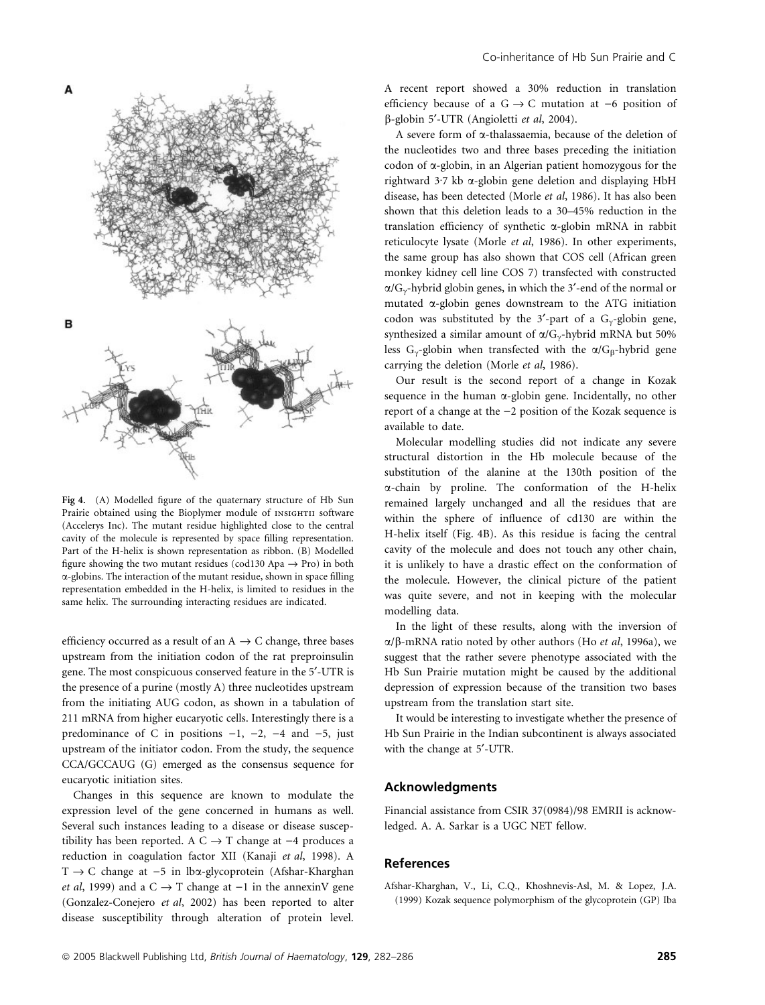

Fig 4. (A) Modelled figure of the quaternary structure of Hb Sun Prairie obtained using the Bioplymer module of INSIGHTII software (Accelerys Inc). The mutant residue highlighted close to the central cavity of the molecule is represented by space filling representation. Part of the H-helix is shown representation as ribbon. (B) Modelled figure showing the two mutant residues (cod130 Apa  $\rightarrow$  Pro) in both a-globins. The interaction of the mutant residue, shown in space filling representation embedded in the H-helix, is limited to residues in the same helix. The surrounding interacting residues are indicated.

efficiency occurred as a result of an  $A \rightarrow C$  change, three bases upstream from the initiation codon of the rat preproinsulin gene. The most conspicuous conserved feature in the 5'-UTR is the presence of a purine (mostly A) three nucleotides upstream from the initiating AUG codon, as shown in a tabulation of 211 mRNA from higher eucaryotic cells. Interestingly there is a predominance of C in positions  $-1$ ,  $-2$ ,  $-4$  and  $-5$ , just upstream of the initiator codon. From the study, the sequence CCA/GCCAUG (G) emerged as the consensus sequence for eucaryotic initiation sites.

Changes in this sequence are known to modulate the expression level of the gene concerned in humans as well. Several such instances leading to a disease or disease susceptibility has been reported. A  $C \rightarrow T$  change at  $-4$  produces a reduction in coagulation factor XII (Kanaji et al, 1998). A  $T \rightarrow C$  change at  $-5$  in lba-glycoprotein (Afshar-Kharghan *et al*, 1999) and a  $C \rightarrow T$  change at  $-1$  in the annexinV gene (Gonzalez-Conejero et al, 2002) has been reported to alter disease susceptibility through alteration of protein level. A recent report showed a 30% reduction in translation efficiency because of a  $G \rightarrow C$  mutation at  $-6$  position of  $\beta$ -globin 5'-UTR (Angioletti et al, 2004).

A severe form of a-thalassaemia, because of the deletion of the nucleotides two and three bases preceding the initiation codon of a-globin, in an Algerian patient homozygous for the rightward  $3.7$  kb  $\alpha$ -globin gene deletion and displaying HbH disease, has been detected (Morle et al, 1986). It has also been shown that this deletion leads to a 30–45% reduction in the translation efficiency of synthetic a-globin mRNA in rabbit reticulocyte lysate (Morle et al, 1986). In other experiments, the same group has also shown that COS cell (African green monkey kidney cell line COS 7) transfected with constructed  $\alpha/G_{\gamma}$ -hybrid globin genes, in which the 3'-end of the normal or mutated  $\alpha$ -globin genes downstream to the ATG initiation codon was substituted by the 3'-part of a  $G_{\gamma}$ -globin gene, synthesized a similar amount of  $\alpha/G_{\gamma}$ -hybrid mRNA but 50% less G<sub>y</sub>-globin when transfected with the  $\alpha/G_\beta$ -hybrid gene carrying the deletion (Morle et al, 1986).

Our result is the second report of a change in Kozak sequence in the human  $\alpha$ -globin gene. Incidentally, no other report of a change at the  $-2$  position of the Kozak sequence is available to date.

Molecular modelling studies did not indicate any severe structural distortion in the Hb molecule because of the substitution of the alanine at the 130th position of the a-chain by proline. The conformation of the H-helix remained largely unchanged and all the residues that are within the sphere of influence of cd130 are within the H-helix itself (Fig. 4B). As this residue is facing the central cavity of the molecule and does not touch any other chain, it is unlikely to have a drastic effect on the conformation of the molecule. However, the clinical picture of the patient was quite severe, and not in keeping with the molecular modelling data.

In the light of these results, along with the inversion of  $\alpha/\beta$ -mRNA ratio noted by other authors (Ho *et al*, 1996a), we suggest that the rather severe phenotype associated with the Hb Sun Prairie mutation might be caused by the additional depression of expression because of the transition two bases upstream from the translation start site.

It would be interesting to investigate whether the presence of Hb Sun Prairie in the Indian subcontinent is always associated with the change at 5'-UTR.

#### Acknowledgments

Financial assistance from CSIR 37(0984)/98 EMRII is acknowledged. A. A. Sarkar is a UGC NET fellow.

## **References**

Afshar-Kharghan, V., Li, C.Q., Khoshnevis-Asl, M. & Lopez, J.A. (1999) Kozak sequence polymorphism of the glycoprotein (GP) Iba